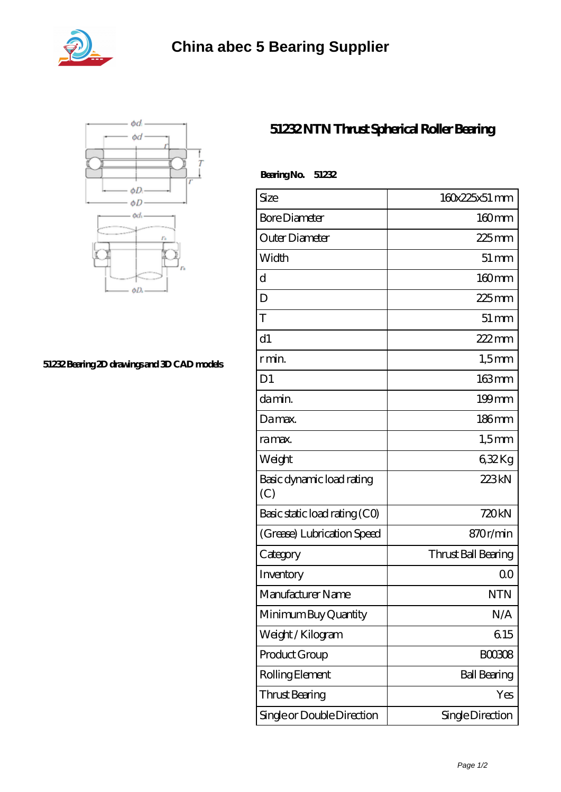



## **[51232 Bearing 2D drawings and 3D CAD models](https://abtrio.com/pic-1075472.html)**

## **[51232 NTN Thrust Spherical Roller Bearing](https://abtrio.com/cylindrical-roller-bearing/51232.html)**

| BearingNo.<br>51232              |                     |
|----------------------------------|---------------------|
| Size                             | 160x225x51 mm       |
| <b>Bore Diameter</b>             | $160$ mm            |
| Outer Diameter                   | $225$ mm            |
| Width                            | $51 \,\mathrm{mm}$  |
| $\mathbf d$                      | $160$ mm            |
| D                                | $225$ mm            |
| T                                | $51 \,\mathrm{mm}$  |
| d1                               | $222$ mm            |
| r min.                           | $1,5$ mm            |
| D <sub>1</sub>                   | 163mm               |
| da min.                          | $199$ mm            |
| Damax.                           | $186$ mm            |
| ra max.                          | $1,5$ mm            |
| Weight                           | 632Kg               |
| Basic dynamic load rating<br>(C) | 223kN               |
| Basic static load rating (CO)    | 720kN               |
| (Grease) Lubrication Speed       | 870r/min            |
| Category                         | Thrust Ball Bearing |
| Inventory                        | 0 <sup>0</sup>      |
| Manufacturer Name                | <b>NTN</b>          |
| Minimum Buy Quantity             | N/A                 |
| Weight/Kilogram                  | 615                 |
| Product Group                    | <b>BOO3O8</b>       |
| Rolling Element                  | <b>Ball Bearing</b> |
| <b>Thrust Bearing</b>            | Yes                 |
| Single or Double Direction       | Single Direction    |